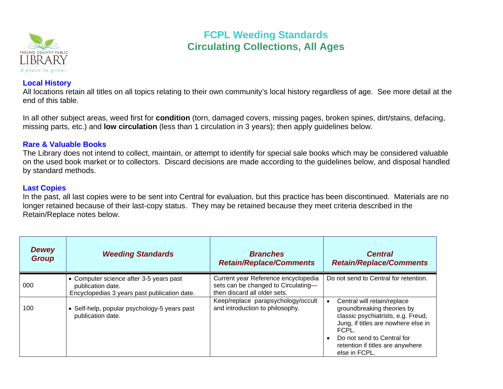

# **FCPL Weeding Standards Circulating Collections, All Ages**

### **Local History**

All locations retain all titles on all topics relating to their own community's local history regardless of age. See more detail at the end of this table.

In all other subject areas, weed first for **condition** (torn, damaged covers, missing pages, broken spines, dirt/stains, defacing, missing parts, etc.) and **low circulation** (less than 1 circulation in 3 years); then apply guidelines below.

### **Rare & Valuable Books**

The Library does not intend to collect, maintain, or attempt to identify for special sale books which may be considered valuable on the used book market or to collectors. Discard decisions are made according to the guidelines below, and disposal handled by standard methods.

### **Last Copies**

In the past, all last copies were to be sent into Central for evaluation, but this practice has been discontinued. Materials are no longer retained because of their last-copy status. They may be retained because they meet criteria described in the Retain/Replace notes below.

| <b>Dewey</b><br><b>Group</b> | <b>Weeding Standards</b>                                                                                     | <b>Branches</b><br><b>Retain/Replace/Comments</b>                                                          | <b>Central</b><br><b>Retain/Replace/Comments</b>                                                                                                                                                                                   |
|------------------------------|--------------------------------------------------------------------------------------------------------------|------------------------------------------------------------------------------------------------------------|------------------------------------------------------------------------------------------------------------------------------------------------------------------------------------------------------------------------------------|
| 000                          | • Computer science after 3-5 years past<br>publication date.<br>Encyclopedias 3 years past publication date. | Current year Reference encyclopedia<br>sets can be changed to Circulating-<br>then discard all older sets. | Do not send to Central for retention.                                                                                                                                                                                              |
| 100                          | • Self-help, popular psychology-5 years past<br>publication date.                                            | Keep/replace parapsychology/occult<br>and introduction to philosophy.                                      | Central will retain/replace<br>groundbreaking theories by<br>classic psychiatrists, e.g. Freud,<br>Jung, if titles are nowhere else in<br>FCPL.<br>Do not send to Central for<br>retention if titles are anywhere<br>else in FCPL. |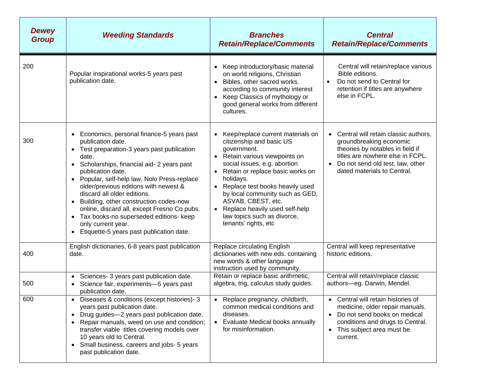| <b>Dewey</b><br><b>Group</b> | <b>Weeding Standards</b>                                                                                                                                                                                                                                                                                                                                                                                                                                                                                                                                                                                    | <b>Branches</b><br><b>Retain/Replace/Comments</b>                                                                                                                                                                                                                                                                                                                                                                         | <b>Central</b><br><b>Retain/Replace/Comments</b>                                                                                                                                                           |
|------------------------------|-------------------------------------------------------------------------------------------------------------------------------------------------------------------------------------------------------------------------------------------------------------------------------------------------------------------------------------------------------------------------------------------------------------------------------------------------------------------------------------------------------------------------------------------------------------------------------------------------------------|---------------------------------------------------------------------------------------------------------------------------------------------------------------------------------------------------------------------------------------------------------------------------------------------------------------------------------------------------------------------------------------------------------------------------|------------------------------------------------------------------------------------------------------------------------------------------------------------------------------------------------------------|
| 200                          | Popular inspirational works-5 years past<br>publication date.                                                                                                                                                                                                                                                                                                                                                                                                                                                                                                                                               | Keep introductory/basic material<br>$\bullet$<br>on world religions, Christian<br>Bibles, other sacred works.<br>$\bullet$<br>according to community interest<br>Keep Classics of mythology or<br>$\bullet$<br>good general works from different<br>cultures.                                                                                                                                                             | Central will retain/replace various<br>Bible editions.<br>Do not send to Central for<br>$\bullet$<br>retention if titles are anywhere<br>else in FCPL.                                                     |
| 300                          | Economics, personal finance-5 years past<br>$\bullet$<br>publication date.<br>Test preparation-3 years past publication<br>$\bullet$<br>date.<br>Scholarships, financial aid- 2 years past<br>$\bullet$<br>publication date.<br>Popular, self-help law, Nolo Press-replace<br>$\bullet$<br>older/previous editions with newest &<br>discard all older editions.<br>Building, other construction codes-now<br>$\bullet$<br>online, discard all, except Fresno Co pubs.<br>Tax books-no superseded editions- keep<br>$\bullet$<br>only current year.<br>Etiquette-5 years past publication date.<br>$\bullet$ | Keep/replace current materials on<br>$\bullet$<br>citizenship and basic US<br>government.<br>Retain various viewpoints on<br>social issues, e.g. abortion<br>Retain or replace basic works on<br>holidays.<br>Replace test books heavily used<br>$\bullet$<br>by local community such as GED,<br>ASVAB, CBEST, etc.<br>Replace heavily used self-help<br>$\bullet$<br>law topics such as divorce,<br>tenants' rights, etc | Central will retain classic authors,<br>groundbreaking economic<br>theories by notables in field if<br>titles are nowhere else in FCPL.<br>Do not send old test, law, other<br>dated materials to Central. |
| 400                          | English dictionaries, 6-8 years past publication<br>date.                                                                                                                                                                                                                                                                                                                                                                                                                                                                                                                                                   | Replace circulating English<br>dictionaries with new eds. containing<br>new words & other language<br>instruction used by community.                                                                                                                                                                                                                                                                                      | Central will keep representative<br>historic editions.                                                                                                                                                     |
| 500                          | Sciences- 3 years past publication date.<br>$\bullet$<br>Science fair, experiments-5 years past<br>$\bullet$<br>publication date.                                                                                                                                                                                                                                                                                                                                                                                                                                                                           | Retain or replace basic arithmetic,<br>algebra, trig, calculus study guides.                                                                                                                                                                                                                                                                                                                                              | Central will retain/replace classic<br>authors-eg. Darwin, Mendel.                                                                                                                                         |
| 600                          | Diseases & conditions (except histories)- 3<br>$\bullet$<br>years past publication date.<br>Drug guides-2 years past publication date.<br>$\bullet$<br>Repair manuals, weed on use and condition;<br>$\bullet$<br>transfer viable titles covering models over<br>10 years old to Central.<br>Small business, careers and jobs- 5 years<br>$\bullet$<br>past publication date.                                                                                                                                                                                                                               | • Replace pregnancy, childbirth,<br>common medical conditions and<br>diseases.<br>Evaluate Medical books annually<br>$\bullet$<br>for misinformation.                                                                                                                                                                                                                                                                     | • Central will retain histories of<br>medicine, older repair manuals.<br>Do not send books on medical<br>conditions and drugs to Central.<br>This subject area must be<br>current.                         |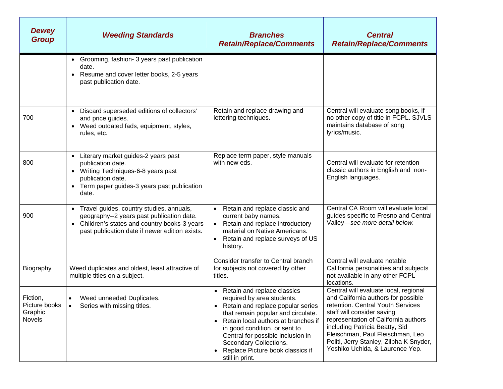| <b>Dewey</b><br><b>Group</b>                          | <b>Weeding Standards</b>                                                                                                                                                               | <b>Branches</b><br><b>Retain/Replace/Comments</b>                                                                                                                                                                                                                                                                                                            | <b>Central</b><br><b>Retain/Replace/Comments</b>                                                                                                                                                                                                                                                                                            |
|-------------------------------------------------------|----------------------------------------------------------------------------------------------------------------------------------------------------------------------------------------|--------------------------------------------------------------------------------------------------------------------------------------------------------------------------------------------------------------------------------------------------------------------------------------------------------------------------------------------------------------|---------------------------------------------------------------------------------------------------------------------------------------------------------------------------------------------------------------------------------------------------------------------------------------------------------------------------------------------|
|                                                       | • Grooming, fashion- 3 years past publication<br>date.<br>Resume and cover letter books, 2-5 years<br>past publication date.                                                           |                                                                                                                                                                                                                                                                                                                                                              |                                                                                                                                                                                                                                                                                                                                             |
| 700                                                   | Discard superseded editions of collectors'<br>$\bullet$<br>and price guides.<br>• Weed outdated fads, equipment, styles,<br>rules, etc.                                                | Retain and replace drawing and<br>lettering techniques.                                                                                                                                                                                                                                                                                                      | Central will evaluate song books, if<br>no other copy of title in FCPL. SJVLS<br>maintains database of song<br>lyrics/music.                                                                                                                                                                                                                |
| 800                                                   | Literary market guides-2 years past<br>$\bullet$<br>publication date.<br>Writing Techniques-6-8 years past<br>publication date.<br>Term paper guides-3 years past publication<br>date. | Replace term paper, style manuals<br>with new eds.                                                                                                                                                                                                                                                                                                           | Central will evaluate for retention<br>classic authors in English and non-<br>English languages.                                                                                                                                                                                                                                            |
| 900                                                   | Travel guides, country studies, annuals,<br>geography--2 years past publication date.<br>Children's states and country books-3 years<br>past publication date if newer edition exists. | Retain and replace classic and<br>current baby names.<br>• Retain and replace introductory<br>material on Native Americans.<br>Retain and replace surveys of US<br>history.                                                                                                                                                                                  | Central CA Room will evaluate local<br>guides specific to Fresno and Central<br>Valley-see more detail below.                                                                                                                                                                                                                               |
| Biography                                             | Weed duplicates and oldest, least attractive of<br>multiple titles on a subject.                                                                                                       | Consider transfer to Central branch<br>for subjects not covered by other<br>titles.                                                                                                                                                                                                                                                                          | Central will evaluate notable<br>California personalities and subjects<br>not available in any other FCPL<br>locations.                                                                                                                                                                                                                     |
| Fiction,<br>Picture books<br>Graphic<br><b>Novels</b> | Weed unneeded Duplicates.<br>$\bullet$<br>Series with missing titles.<br>$\bullet$                                                                                                     | Retain and replace classics<br>required by area students.<br>Retain and replace popular series<br>that remain popular and circulate.<br>Retain local authors at branches if<br>$\bullet$<br>in good condition. or sent to<br>Central for possible inclusion in<br>Secondary Collections.<br>Replace Picture book classics if<br>$\bullet$<br>still in print. | Central will evaluate local, regional<br>and California authors for possible<br>retention. Central Youth Services<br>staff will consider saving<br>representation of California authors<br>including Patricia Beatty, Sid<br>Fleischman, Paul Fleischman, Leo<br>Politi, Jerry Stanley, Zilpha K Snyder,<br>Yoshiko Uchida, & Laurence Yep. |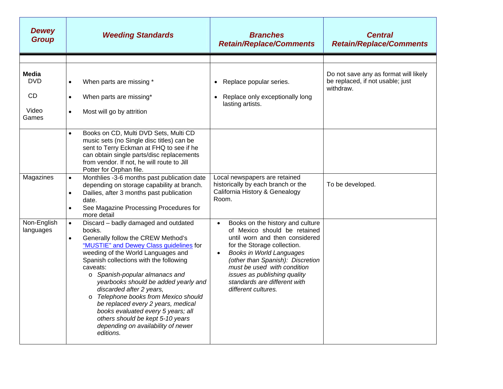| <b>Dewey</b><br><b>Group</b> | <b>Weeding Standards</b>                                                                                                                                                                                                                                                                                                                                                                                                                                                                                                                                               | <b>Branches</b><br><b>Retain/Replace/Comments</b>                                                                                                                                                                                                                                                                                           | <b>Central</b><br><b>Retain/Replace/Comments</b>                                       |
|------------------------------|------------------------------------------------------------------------------------------------------------------------------------------------------------------------------------------------------------------------------------------------------------------------------------------------------------------------------------------------------------------------------------------------------------------------------------------------------------------------------------------------------------------------------------------------------------------------|---------------------------------------------------------------------------------------------------------------------------------------------------------------------------------------------------------------------------------------------------------------------------------------------------------------------------------------------|----------------------------------------------------------------------------------------|
|                              |                                                                                                                                                                                                                                                                                                                                                                                                                                                                                                                                                                        |                                                                                                                                                                                                                                                                                                                                             |                                                                                        |
| Media<br><b>DVD</b>          | When parts are missing *<br>$\bullet$                                                                                                                                                                                                                                                                                                                                                                                                                                                                                                                                  | Replace popular series.                                                                                                                                                                                                                                                                                                                     | Do not save any as format will likely<br>be replaced, if not usable; just<br>withdraw. |
| CD                           | When parts are missing*<br>$\bullet$                                                                                                                                                                                                                                                                                                                                                                                                                                                                                                                                   | Replace only exceptionally long<br>lasting artists.                                                                                                                                                                                                                                                                                         |                                                                                        |
| Video<br>Games               | Most will go by attrition<br>$\bullet$                                                                                                                                                                                                                                                                                                                                                                                                                                                                                                                                 |                                                                                                                                                                                                                                                                                                                                             |                                                                                        |
|                              | Books on CD, Multi DVD Sets, Multi CD<br>$\bullet$<br>music sets (no Single disc titles) can be<br>sent to Terry Eckman at FHQ to see if he<br>can obtain single parts/disc replacements<br>from vendor. If not, he will route to Jill<br>Potter for Orphan file.                                                                                                                                                                                                                                                                                                      |                                                                                                                                                                                                                                                                                                                                             |                                                                                        |
| Magazines                    | Monthlies -3-6 months past publication date<br>$\bullet$<br>depending on storage capability at branch.<br>Dailies, after 3 months past publication<br>$\bullet$<br>date.<br>See Magazine Processing Procedures for<br>$\bullet$<br>more detail                                                                                                                                                                                                                                                                                                                         | Local newspapers are retained<br>historically by each branch or the<br>California History & Genealogy<br>Room.                                                                                                                                                                                                                              | To be developed.                                                                       |
| Non-English<br>languages     | Discard - badly damaged and outdated<br>$\bullet$<br>books.<br>Generally follow the CREW Method's<br>$\bullet$<br>"MUSTIE" and Dewey Class guidelines for<br>weeding of the World Languages and<br>Spanish collections with the following<br>caveats:<br>o Spanish-popular almanacs and<br>yearbooks should be added yearly and<br>discarded after 2 years,<br>o Telephone books from Mexico should<br>be replaced every 2 years, medical<br>books evaluated every 5 years; all<br>others should be kept 5-10 years<br>depending on availability of newer<br>editions. | Books on the history and culture<br>of Mexico should be retained<br>until worn and then considered<br>for the Storage collection.<br><b>Books in World Languages</b><br>$\bullet$<br>(other than Spanish): Discretion<br>must be used with condition<br>issues as publishing quality<br>standards are different with<br>different cultures. |                                                                                        |